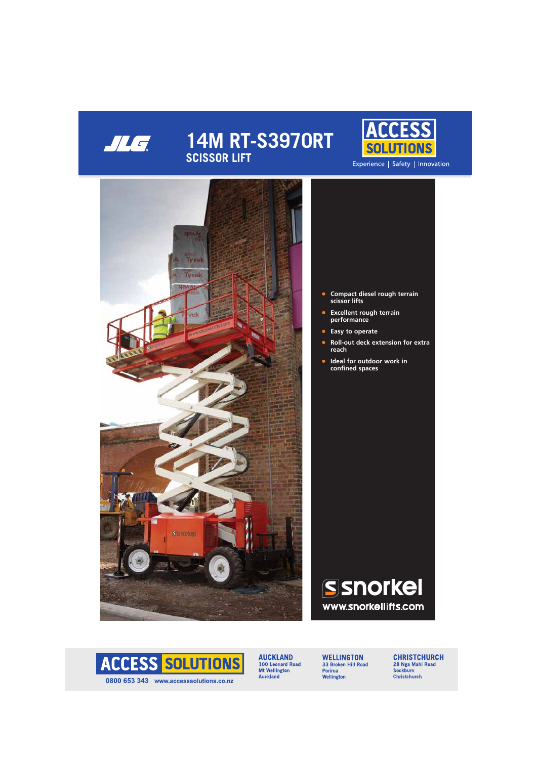

# **14M RT-S3970RT SCISSOR LIFT**





- **• Compact diesel rough terrain scissor lifts**
- **• Excellent rough terrain performance**
- **• Easy to operate**
- **• Roll-out deck extension for extra reach**
- **• Ideal for outdoor work in confined spaces**





**AUCKLAND** 100 Leonard Road Mt Wellington **Auckland** 

**WELLINGTON** 33 Broken Hill Road Porirua Wellington

**CHRISTCHURCH** 28 Nga Mahi Road Sockburn **Christchurch**